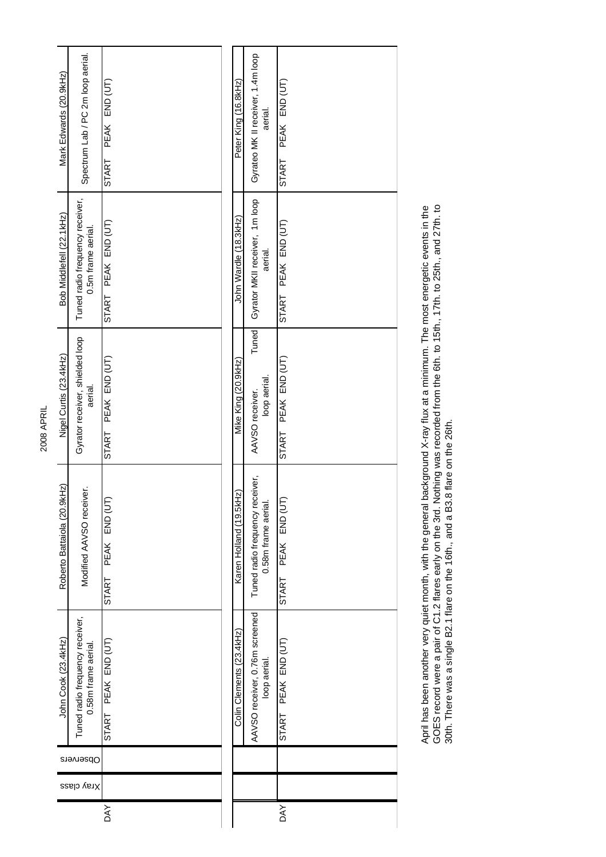|                                                        | John Cook (23.4kHz) | Roberto Battaiola (20.9kHz)                           | Nigel Curtis (23.4kHz)                     | Bob Middlefell (22.1kHz)                              | Mark Edwards (20.9kHz)                       |
|--------------------------------------------------------|---------------------|-------------------------------------------------------|--------------------------------------------|-------------------------------------------------------|----------------------------------------------|
| Tuned radio frequency receiver,<br>0.58m frame aerial. |                     | Modified AAVSO receiver.                              | Gyrator receiver, shielded loop<br>aerial. | Tuned radio frequency receiver,<br>0.5m frame aerial. | Spectrum Lab / PC 2m loop aerial.            |
| START PEAK END (UT)                                    |                     | PEAK END (UT<br>START                                 | PEAK END (UT)<br>START                     | PEAK END (UT)<br>START                                | PEAK END (UT)<br>START                       |
|                                                        |                     |                                                       |                                            |                                                       |                                              |
| Colin Clements (23.4kHz)                               |                     | Karen Holland (19.5kHz)                               | Mike King (20.9kHz)                        | John Wardle (18.3kHz)                                 | Peter King (16.8kHz)                         |
| AAVSO receiver, 0.76m screened<br>loop aerial.         |                     | Tuned radio frequency receiver,<br>0.58m frame aerial | Tuned<br>loop aerial.<br>AAVSO receiver.   | Gyrator MKII receiver, 1m loop<br>aerial.             | Gyrateo MK II receiver, 1.4m loop<br>aerial. |
| START PEAK END (UT)                                    |                     | START PEAK END (UT                                    | START PEAK END (UT)                        | START PEAK END (UT)                                   | PEAK END (UT)<br><b>START</b>                |

April has been another very quiet month, with the general background X-ray flux at a minimum. The most energetic events in the<br>GOES record were a pair of C1.2 flares early on the 3rd. Nothing was recorded from the 6th. to GOES record were a pair of C1.2 flares early on the 3rd. Nothing was recorded from the 6th. to 15th., 17th. to 25th., and 27th. to April has been another very quiet month, with the general background X-ray flux at a minimum. The most energetic events in the 30th. There was a single B2.1 flare on the 16th., and a B3.8 flare on the 26th.

2008 APRIL